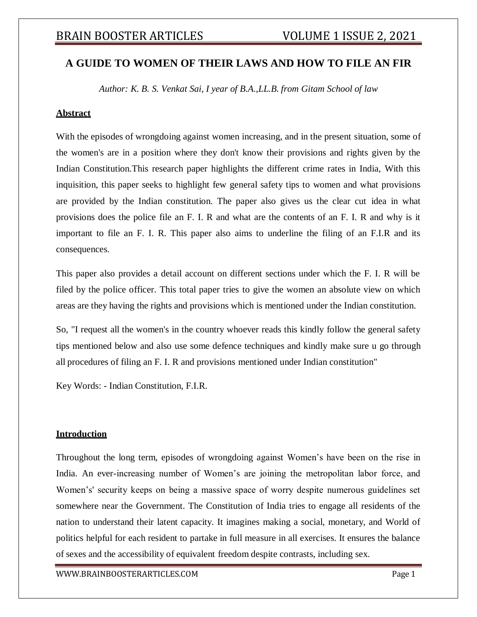## **A GUIDE TO WOMEN OF THEIR LAWS AND HOW TO FILE AN FIR**

*Author: K. B. S. Venkat Sai, I year of B.A.,LL.B. from Gitam School of law*

## **Abstract**

With the episodes of wrongdoing against women increasing, and in the present situation, some of the women's are in a position where they don't know their provisions and rights given by the Indian Constitution.This research paper highlights the different crime rates in India, With this inquisition, this paper seeks to highlight few general safety tips to women and what provisions are provided by the Indian constitution. The paper also gives us the clear cut idea in what provisions does the police file an F. I. R and what are the contents of an F. I. R and why is it important to file an F. I. R. This paper also aims to underline the filing of an F.I.R and its consequences.

This paper also provides a detail account on different sections under which the F. I. R will be filed by the police officer. This total paper tries to give the women an absolute view on which areas are they having the rights and provisions which is mentioned under the Indian constitution.

So, "I request all the women's in the country whoever reads this kindly follow the general safety tips mentioned below and also use some defence techniques and kindly make sure u go through all procedures of filing an F. I. R and provisions mentioned under Indian constitution"

Key Words: - Indian Constitution, F.I.R.

#### **Introduction**

Throughout the long term, episodes of wrongdoing against Women's have been on the rise in India. An ever-increasing number of Women's are joining the metropolitan labor force, and Women's' security keeps on being a massive space of worry despite numerous guidelines set somewhere near the Government. The Constitution of India tries to engage all residents of the nation to understand their latent capacity. It imagines making a social, monetary, and World of politics helpful for each resident to partake in full measure in all exercises. It ensures the balance of sexes and the accessibility of equivalent freedom despite contrasts, including sex.

[WWW.BRAINBOOSTERARTICLES.COM](http://www.brainboosterarticles.com/) Page 1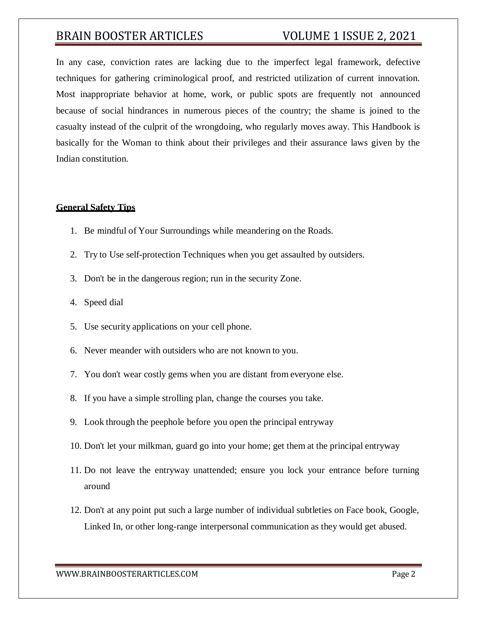In any case, conviction rates are lacking due to the imperfect legal framework, defective techniques for gathering criminological proof, and restricted utilization of current innovation. Most inappropriate behavior at home, work, or public spots are frequently not announced because of social hindrances in numerous pieces of the country; the shame is joined to the casualty instead of the culprit of the wrongdoing, who regularly moves away. This Handbook is basically for the Woman to think about their privileges and their assurance laws given by the Indian constitution.

#### **General Safety Tips**

- 1. Be mindful of Your Surroundings while meandering on the Roads.
- 2. Try to Use self-protection Techniques when you get assaulted by outsiders.
- 3. Don't be in the dangerous region; run in the security Zone.
- 4. Speed dial
- 5. Use security applications on your cell phone.
- 6. Never meander with outsiders who are not known to you.
- 7. You don't wear costly gems when you are distant from everyone else.
- 8. If you have a simple strolling plan, change the courses you take.
- 9. Look through the peephole before you open the principal entryway
- 10. Don't let your milkman, guard go into your home; get them at the principal entryway
- 11. Do not leave the entryway unattended; ensure you lock your entrance before turning around
- 12. Don't at any point put such a large number of individual subtleties on Face book, Google, Linked In, or other long-range interpersonal communication as they would get abused.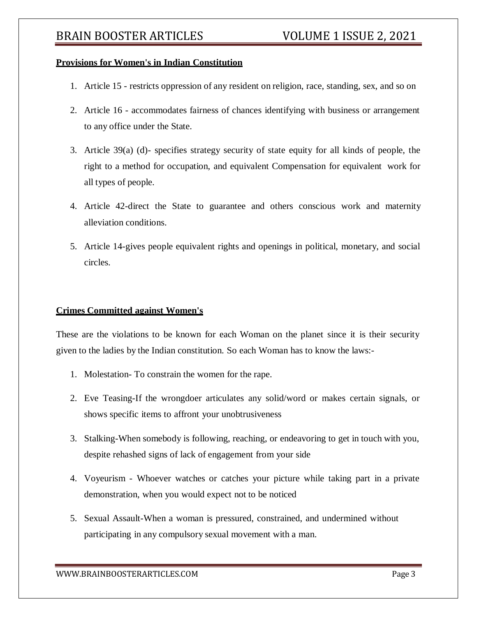## **Provisions for Women's in Indian Constitution**

- 1. Article 15 restricts oppression of any resident on religion, race, standing, sex, and so on
- 2. Article 16 accommodates fairness of chances identifying with business or arrangement to any office under the State.
- 3. Article 39(a) (d)- specifies strategy security of state equity for all kinds of people, the right to a method for occupation, and equivalent Compensation for equivalent work for all types of people.
- 4. Article 42-direct the State to guarantee and others conscious work and maternity alleviation conditions.
- 5. Article 14-gives people equivalent rights and openings in political, monetary, and social circles.

## **Crimes Committed against Women's**

These are the violations to be known for each Woman on the planet since it is their security given to the ladies by the Indian constitution. So each Woman has to know the laws:-

- 1. Molestation- To constrain the women for the rape.
- 2. Eve Teasing-If the wrongdoer articulates any solid/word or makes certain signals, or shows specific items to affront your unobtrusiveness
- 3. Stalking-When somebody is following, reaching, or endeavoring to get in touch with you, despite rehashed signs of lack of engagement from your side
- 4. Voyeurism Whoever watches or catches your picture while taking part in a private demonstration, when you would expect not to be noticed
- 5. Sexual Assault-When a woman is pressured, constrained, and undermined without participating in any compulsory sexual movement with a man.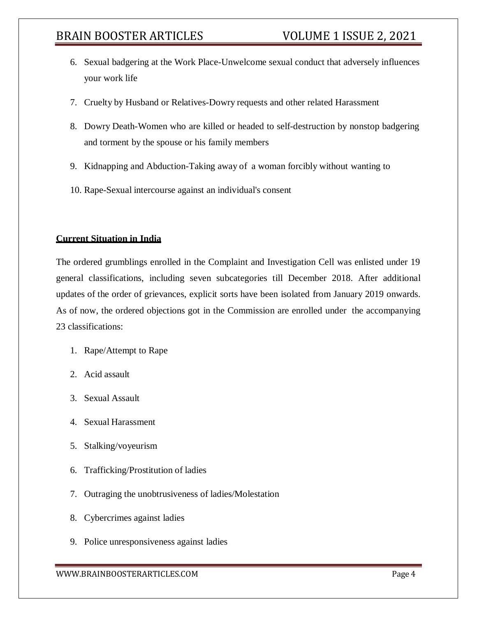- 6. Sexual badgering at the Work Place-Unwelcome sexual conduct that adversely influences your work life
- 7. Cruelty by Husband or Relatives-Dowry requests and other related Harassment
- 8. Dowry Death-Women who are killed or headed to self-destruction by nonstop badgering and torment by the spouse or his family members
- 9. Kidnapping and Abduction-Taking away of a woman forcibly without wanting to
- 10. Rape-Sexual intercourse against an individual's consent

### **Current Situation in India**

The ordered grumblings enrolled in the Complaint and Investigation Cell was enlisted under 19 general classifications, including seven subcategories till December 2018. After additional updates of the order of grievances, explicit sorts have been isolated from January 2019 onwards. As of now, the ordered objections got in the Commission are enrolled under the accompanying 23 classifications:

- 1. Rape/Attempt to Rape
- 2. Acid assault
- 3. Sexual Assault
- 4. Sexual Harassment
- 5. Stalking/voyeurism
- 6. Trafficking/Prostitution of ladies
- 7. Outraging the unobtrusiveness of ladies/Molestation
- 8. Cybercrimes against ladies
- 9. Police unresponsiveness against ladies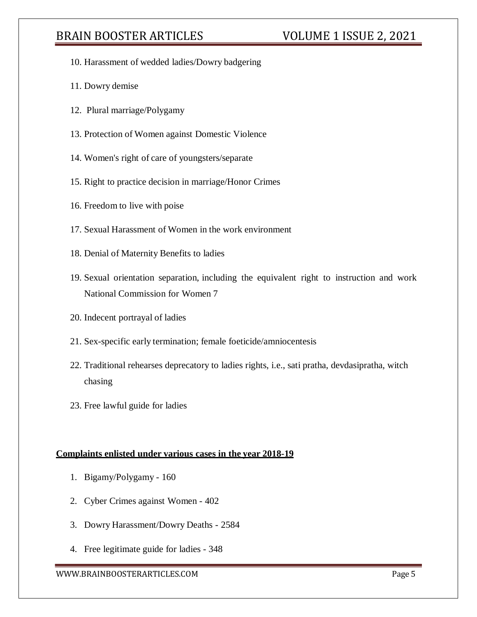- 10. Harassment of wedded ladies/Dowry badgering
- 11. Dowry demise
- 12. Plural marriage/Polygamy
- 13. Protection of Women against Domestic Violence
- 14. Women's right of care of youngsters/separate
- 15. Right to practice decision in marriage/Honor Crimes
- 16. Freedom to live with poise
- 17. Sexual Harassment of Women in the work environment
- 18. Denial of Maternity Benefits to ladies
- 19. Sexual orientation separation, including the equivalent right to instruction and work National Commission for Women 7
- 20. Indecent portrayal of ladies
- 21. Sex-specific early termination; female foeticide/amniocentesis
- 22. Traditional rehearses deprecatory to ladies rights, i.e., sati pratha, devdasipratha, witch chasing
- 23. Free lawful guide for ladies

#### **Complaints enlisted under various cases in the year 2018-19**

- 1. Bigamy/Polygamy 160
- 2. Cyber Crimes against Women 402
- 3. Dowry Harassment/Dowry Deaths 2584
- 4. Free legitimate guide for ladies 348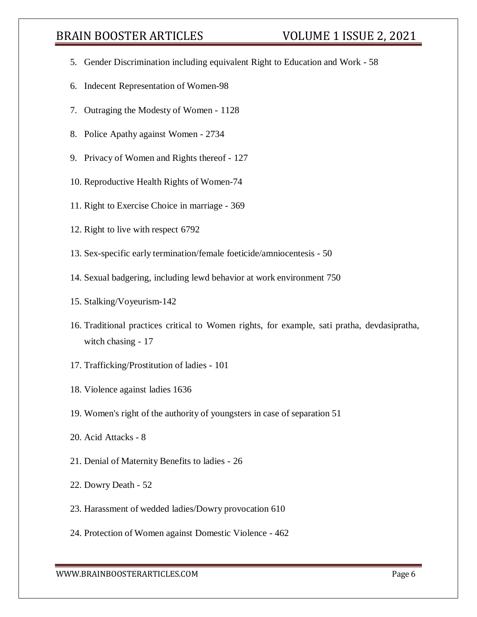- 5. Gender Discrimination including equivalent Right to Education and Work 58
- 6. Indecent Representation of Women-98
- 7. Outraging the Modesty of Women 1128
- 8. Police Apathy against Women 2734
- 9. Privacy of Women and Rights thereof 127
- 10. Reproductive Health Rights of Women-74
- 11. Right to Exercise Choice in marriage 369
- 12. Right to live with respect 6792
- 13. Sex-specific early termination/female foeticide/amniocentesis 50
- 14. Sexual badgering, including lewd behavior at work environment 750
- 15. Stalking/Voyeurism-142
- 16. Traditional practices critical to Women rights, for example, sati pratha, devdasipratha, witch chasing - 17
- 17. Trafficking/Prostitution of ladies 101
- 18. Violence against ladies 1636
- 19. Women's right of the authority of youngsters in case of separation 51
- 20. Acid Attacks 8
- 21. Denial of Maternity Benefits to ladies 26
- 22. Dowry Death 52
- 23. Harassment of wedded ladies/Dowry provocation 610
- 24. Protection of Women against Domestic Violence 462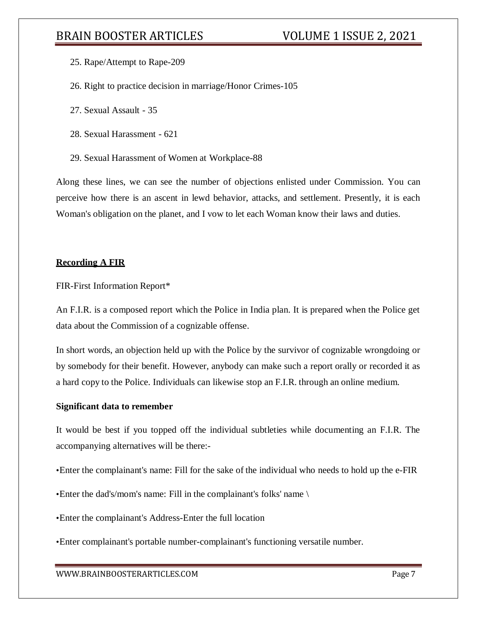- 25. Rape/Attempt to Rape-209
- 26. Right to practice decision in marriage/Honor Crimes-105
- 27. Sexual Assault 35
- 28. Sexual Harassment 621
- 29. Sexual Harassment of Women at Workplace-88

Along these lines, we can see the number of objections enlisted under Commission. You can perceive how there is an ascent in lewd behavior, attacks, and settlement. Presently, it is each Woman's obligation on the planet, and I vow to let each Woman know their laws and duties.

#### **Recording A FIR**

FIR-First Information Report\*

An F.I.R. is a composed report which the Police in India plan. It is prepared when the Police get data about the Commission of a cognizable offense.

In short words, an objection held up with the Police by the survivor of cognizable wrongdoing or by somebody for their benefit. However, anybody can make such a report orally or recorded it as a hard copy to the Police. Individuals can likewise stop an F.I.R. through an online medium.

#### **Significant data to remember**

It would be best if you topped off the individual subtleties while documenting an F.I.R. The accompanying alternatives will be there:-

- •Enter the complainant's name: Fill for the sake of the individual who needs to hold up the e-FIR
- •Enter the dad's/mom's name: Fill in the complainant's folks' name \
- •Enter the complainant's Address-Enter the full location
- •Enter complainant's portable number-complainant's functioning versatile number.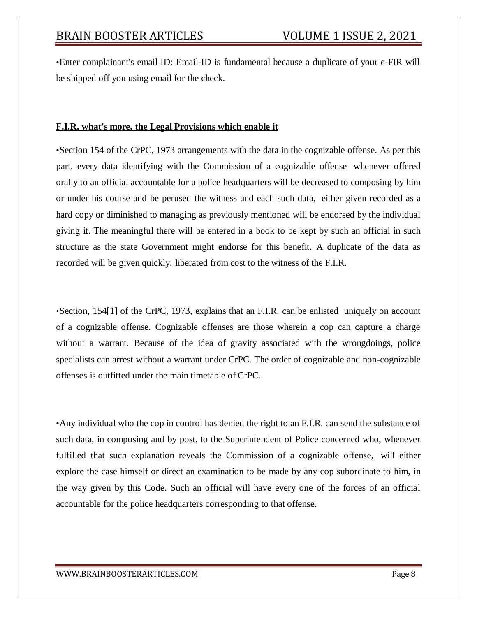•Enter complainant's email ID: Email-ID is fundamental because a duplicate of your e-FIR will be shipped off you using email for the check.

### **F.I.R. what's more, the Legal Provisions which enable it**

•Section 154 of the CrPC, 1973 arrangements with the data in the cognizable offense. As per this part, every data identifying with the Commission of a cognizable offense whenever offered orally to an official accountable for a police headquarters will be decreased to composing by him or under his course and be perused the witness and each such data, either given recorded as a hard copy or diminished to managing as previously mentioned will be endorsed by the individual giving it. The meaningful there will be entered in a book to be kept by such an official in such structure as the state Government might endorse for this benefit. A duplicate of the data as recorded will be given quickly, liberated from cost to the witness of the F.I.R.

•Section, 154[1] of the CrPC, 1973, explains that an F.I.R. can be enlisted uniquely on account of a cognizable offense. Cognizable offenses are those wherein a cop can capture a charge without a warrant. Because of the idea of gravity associated with the wrongdoings, police specialists can arrest without a warrant under CrPC. The order of cognizable and non-cognizable offenses is outfitted under the main timetable of CrPC.

•Any individual who the cop in control has denied the right to an F.I.R. can send the substance of such data, in composing and by post, to the Superintendent of Police concerned who, whenever fulfilled that such explanation reveals the Commission of a cognizable offense, will either explore the case himself or direct an examination to be made by any cop subordinate to him, in the way given by this Code. Such an official will have every one of the forces of an official accountable for the police headquarters corresponding to that offense.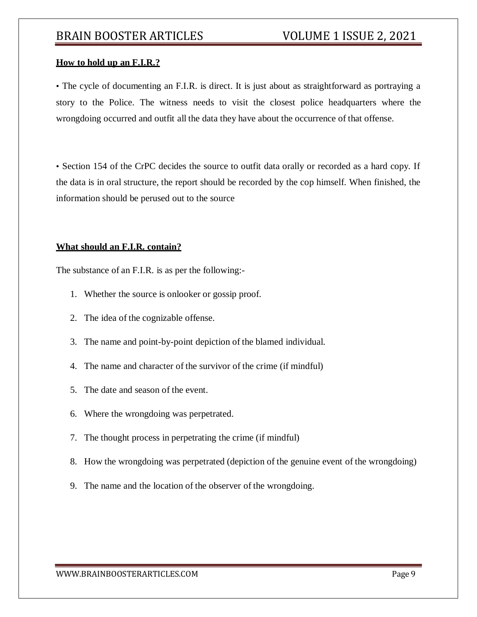## **How to hold up an F.I.R.?**

• The cycle of documenting an F.I.R. is direct. It is just about as straightforward as portraying a story to the Police. The witness needs to visit the closest police headquarters where the wrongdoing occurred and outfit all the data they have about the occurrence of that offense.

• Section 154 of the CrPC decides the source to outfit data orally or recorded as a hard copy. If the data is in oral structure, the report should be recorded by the cop himself. When finished, the information should be perused out to the source

#### **What should an F.I.R. contain?**

The substance of an F.I.R. is as per the following:-

- 1. Whether the source is onlooker or gossip proof.
- 2. The idea of the cognizable offense.
- 3. The name and point-by-point depiction of the blamed individual.
- 4. The name and character of the survivor of the crime (if mindful)
- 5. The date and season of the event.
- 6. Where the wrongdoing was perpetrated.
- 7. The thought process in perpetrating the crime (if mindful)
- 8. How the wrongdoing was perpetrated (depiction of the genuine event of the wrongdoing)
- 9. The name and the location of the observer of the wrongdoing.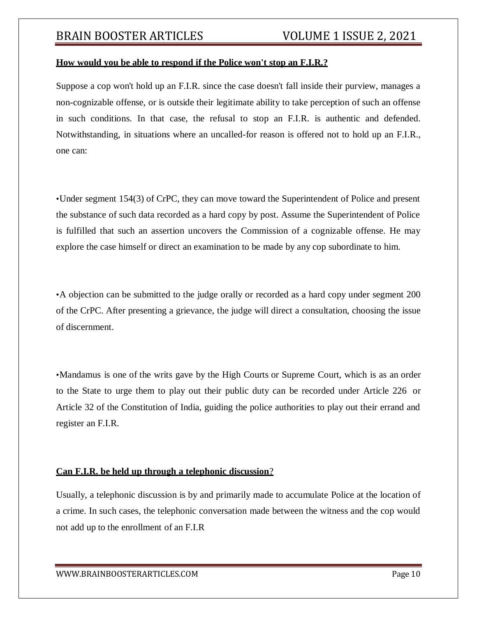#### **How would you be able to respond if the Police won't stop an F.I.R.?**

Suppose a cop won't hold up an F.I.R. since the case doesn't fall inside their purview, manages a non-cognizable offense, or is outside their legitimate ability to take perception of such an offense in such conditions. In that case, the refusal to stop an F.I.R. is authentic and defended. Notwithstanding, in situations where an uncalled-for reason is offered not to hold up an F.I.R., one can:

•Under segment 154(3) of CrPC, they can move toward the Superintendent of Police and present the substance of such data recorded as a hard copy by post. Assume the Superintendent of Police is fulfilled that such an assertion uncovers the Commission of a cognizable offense. He may explore the case himself or direct an examination to be made by any cop subordinate to him.

•A objection can be submitted to the judge orally or recorded as a hard copy under segment 200 of the CrPC. After presenting a grievance, the judge will direct a consultation, choosing the issue of discernment.

•Mandamus is one of the writs gave by the High Courts or Supreme Court, which is as an order to the State to urge them to play out their public duty can be recorded under Article 226 or Article 32 of the Constitution of India, guiding the police authorities to play out their errand and register an F.I.R.

#### **Can F.I.R. be held up through a telephonic discussion**?

Usually, a telephonic discussion is by and primarily made to accumulate Police at the location of a crime. In such cases, the telephonic conversation made between the witness and the cop would not add up to the enrollment of an F.I.R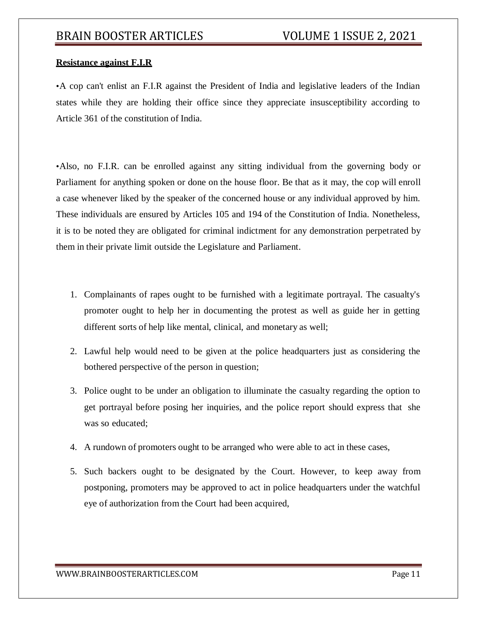## **Resistance against F.I.R**

•A cop can't enlist an F.I.R against the President of India and legislative leaders of the Indian states while they are holding their office since they appreciate insusceptibility according to Article 361 of the constitution of India.

•Also, no F.I.R. can be enrolled against any sitting individual from the governing body or Parliament for anything spoken or done on the house floor. Be that as it may, the cop will enroll a case whenever liked by the speaker of the concerned house or any individual approved by him. These individuals are ensured by Articles 105 and 194 of the Constitution of India. Nonetheless, it is to be noted they are obligated for criminal indictment for any demonstration perpetrated by them in their private limit outside the Legislature and Parliament.

- 1. Complainants of rapes ought to be furnished with a legitimate portrayal. The casualty's promoter ought to help her in documenting the protest as well as guide her in getting different sorts of help like mental, clinical, and monetary as well;
- 2. Lawful help would need to be given at the police headquarters just as considering the bothered perspective of the person in question;
- 3. Police ought to be under an obligation to illuminate the casualty regarding the option to get portrayal before posing her inquiries, and the police report should express that she was so educated;
- 4. A rundown of promoters ought to be arranged who were able to act in these cases,
- 5. Such backers ought to be designated by the Court. However, to keep away from postponing, promoters may be approved to act in police headquarters under the watchful eye of authorization from the Court had been acquired,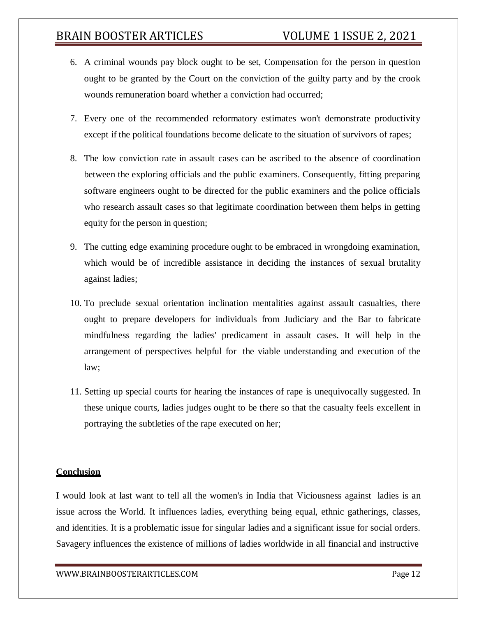- 6. A criminal wounds pay block ought to be set, Compensation for the person in question ought to be granted by the Court on the conviction of the guilty party and by the crook wounds remuneration board whether a conviction had occurred;
- 7. Every one of the recommended reformatory estimates won't demonstrate productivity except if the political foundations become delicate to the situation of survivors of rapes;
- 8. The low conviction rate in assault cases can be ascribed to the absence of coordination between the exploring officials and the public examiners. Consequently, fitting preparing software engineers ought to be directed for the public examiners and the police officials who research assault cases so that legitimate coordination between them helps in getting equity for the person in question;
- 9. The cutting edge examining procedure ought to be embraced in wrongdoing examination, which would be of incredible assistance in deciding the instances of sexual brutality against ladies;
- 10. To preclude sexual orientation inclination mentalities against assault casualties, there ought to prepare developers for individuals from Judiciary and the Bar to fabricate mindfulness regarding the ladies' predicament in assault cases. It will help in the arrangement of perspectives helpful for the viable understanding and execution of the law;
- 11. Setting up special courts for hearing the instances of rape is unequivocally suggested. In these unique courts, ladies judges ought to be there so that the casualty feels excellent in portraying the subtleties of the rape executed on her;

## **Conclusion**

I would look at last want to tell all the women's in India that Viciousness against ladies is an issue across the World. It influences ladies, everything being equal, ethnic gatherings, classes, and identities. It is a problematic issue for singular ladies and a significant issue for social orders. Savagery influences the existence of millions of ladies worldwide in all financial and instructive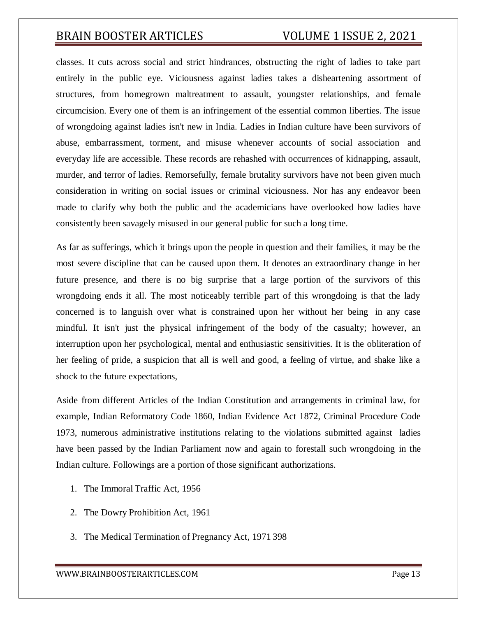classes. It cuts across social and strict hindrances, obstructing the right of ladies to take part entirely in the public eye. Viciousness against ladies takes a disheartening assortment of structures, from homegrown maltreatment to assault, youngster relationships, and female circumcision. Every one of them is an infringement of the essential common liberties. The issue of wrongdoing against ladies isn't new in India. Ladies in Indian culture have been survivors of abuse, embarrassment, torment, and misuse whenever accounts of social association and everyday life are accessible. These records are rehashed with occurrences of kidnapping, assault, murder, and terror of ladies. Remorsefully, female brutality survivors have not been given much consideration in writing on social issues or criminal viciousness. Nor has any endeavor been made to clarify why both the public and the academicians have overlooked how ladies have consistently been savagely misused in our general public for such a long time.

As far as sufferings, which it brings upon the people in question and their families, it may be the most severe discipline that can be caused upon them. It denotes an extraordinary change in her future presence, and there is no big surprise that a large portion of the survivors of this wrongdoing ends it all. The most noticeably terrible part of this wrongdoing is that the lady concerned is to languish over what is constrained upon her without her being in any case mindful. It isn't just the physical infringement of the body of the casualty; however, an interruption upon her psychological, mental and enthusiastic sensitivities. It is the obliteration of her feeling of pride, a suspicion that all is well and good, a feeling of virtue, and shake like a shock to the future expectations,

Aside from different Articles of the Indian Constitution and arrangements in criminal law, for example, Indian Reformatory Code 1860, Indian Evidence Act 1872, Criminal Procedure Code 1973, numerous administrative institutions relating to the violations submitted against ladies have been passed by the Indian Parliament now and again to forestall such wrongdoing in the Indian culture. Followings are a portion of those significant authorizations.

- 1. The Immoral Traffic Act, 1956
- 2. The Dowry Prohibition Act, 1961
- 3. The Medical Termination of Pregnancy Act, 1971 398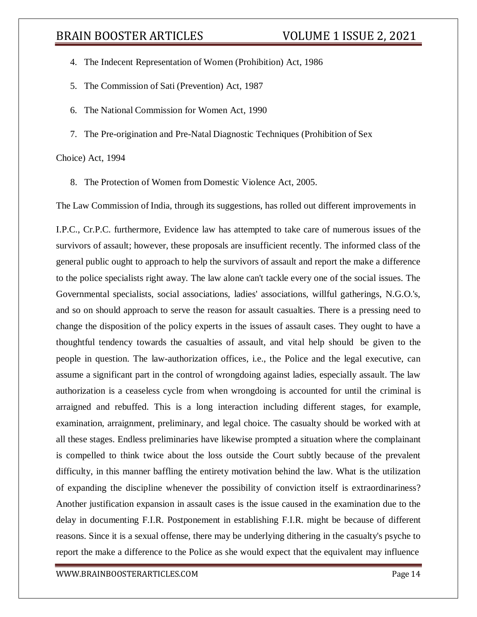- 4. The Indecent Representation of Women (Prohibition) Act, 1986
- 5. The Commission of Sati (Prevention) Act, 1987
- 6. The National Commission for Women Act, 1990
- 7. The Pre-origination and Pre-Natal Diagnostic Techniques (Prohibition of Sex

Choice) Act, 1994

8. The Protection of Women from Domestic Violence Act, 2005.

The Law Commission of India, through its suggestions, has rolled out different improvements in

I.P.C., Cr.P.C. furthermore, Evidence law has attempted to take care of numerous issues of the survivors of assault; however, these proposals are insufficient recently. The informed class of the general public ought to approach to help the survivors of assault and report the make a difference to the police specialists right away. The law alone can't tackle every one of the social issues. The Governmental specialists, social associations, ladies' associations, willful gatherings, N.G.O.'s, and so on should approach to serve the reason for assault casualties. There is a pressing need to change the disposition of the policy experts in the issues of assault cases. They ought to have a thoughtful tendency towards the casualties of assault, and vital help should be given to the people in question. The law-authorization offices, i.e., the Police and the legal executive, can assume a significant part in the control of wrongdoing against ladies, especially assault. The law authorization is a ceaseless cycle from when wrongdoing is accounted for until the criminal is arraigned and rebuffed. This is a long interaction including different stages, for example, examination, arraignment, preliminary, and legal choice. The casualty should be worked with at all these stages. Endless preliminaries have likewise prompted a situation where the complainant is compelled to think twice about the loss outside the Court subtly because of the prevalent difficulty, in this manner baffling the entirety motivation behind the law. What is the utilization of expanding the discipline whenever the possibility of conviction itself is extraordinariness? Another justification expansion in assault cases is the issue caused in the examination due to the delay in documenting F.I.R. Postponement in establishing F.I.R. might be because of different reasons. Since it is a sexual offense, there may be underlying dithering in the casualty's psyche to report the make a difference to the Police as she would expect that the equivalent may influence